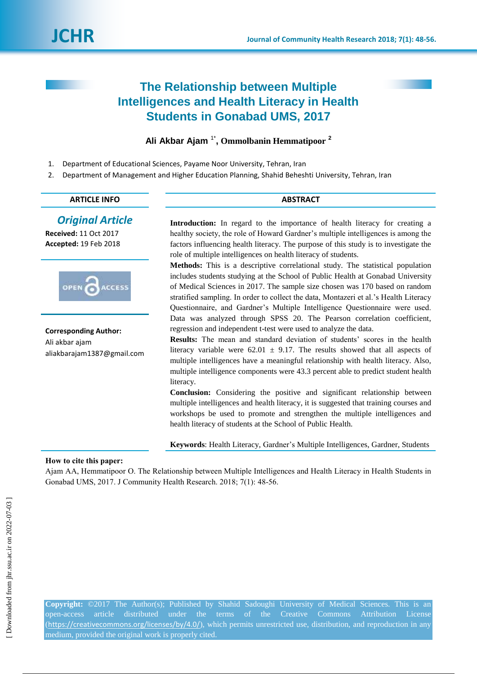# **The Relationship between Multiple Intelligences and Health Literacy in Health Students in Gonabad UMS, 2017**

# **Ali Akbar Ajam** 1\* **, Ommolbanin Hemmatipoor <sup>2</sup>**

- 1. Department of Educational Sciences, Payame Noor University, Tehran, Iran
- 2. Department of Management and Higher Education Planning, Shahid Beheshti University, Tehran, Iran

#### **ARTICLE INFO ABSTRACT**

# *Original Article*

**Received:** 11 Oct 2017 **Accepted:** 19 Feb 2018



**Corresponding Author:** Ali akbar ajam aliakbarajam1387@gmail.com

Introduction: In regard to the importance of health literacy for creating a healthy society, the role of Howard Gardner"s multiple intelligences is among the factors influencing health literacy. The purpose of this study is to investigate the role of multiple intelligences on health literacy of students.

**Methods:** This is a descriptive correlational study. The statistical population includes students studying at the School of Public Health at Gonabad University of Medical Sciences in 2017. The sample size chosen was 170 based on random stratified sampling. In order to collect the data, Montazeri et al."s Health Literacy Questionnaire, and Gardner"s Multiple Intelligence Questionnaire were used. Data was analyzed through SPSS 20. The Pearson correlation coefficient, regression and independent t-test were used to analyze the data.

**Results:** The mean and standard deviation of students' scores in the health literacy variable were  $62.01 \pm 9.17$ . The results showed that all aspects of multiple intelligences have a meaningful relationship with health literacy. Also, multiple intelligence components were 43.3 percent able to predict student health literacy.

**Conclusion:** Considering the positive and significant relationship between multiple intelligences and health literacy, it is suggested that training courses and workshops be used to promote and strengthen the multiple intelligences and health literacy of students at the School of Public Health.

**Keywords**: Health Literacy, Gardner"s Multiple Intelligences, Gardner, Students

### **How to cite this paper:**

Ajam AA, Hemmatipoor O. The Relationship between Multiple Intelligences and Health Literacy in Health Students in Gonabad UMS, 2017. J Community Health Research. 2018; 7(1): 48-56.

**Copyright:** ©2017 The Author(s); Published by Shahid Sadoughi University of Medical Sciences. This is an open-access article distributed under the terms of the Creative Commons Attribution License (<https://creativecommons.org/licenses/by/4.0/>), which permits unrestricted use, distribution, and reproduction in any medium, provided the original work is properly cited.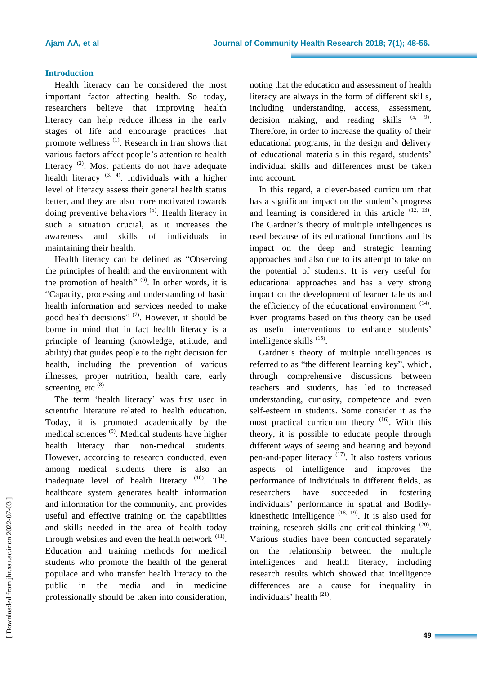# **Introduction**

Health literacy can be considered the most important factor affecting health. So today, researchers believe that improving health literacy can help reduce illness in the early stages of life and encourage practices that promote wellness<sup>(1)</sup>. Research in Iran shows that various factors affect people"s attention to health literacy<sup>(2)</sup>. Most patients do not have adequate health literacy  $(3, 4)$ . Individuals with a higher level of literacy assess their general health status better, and they are also more motivated towards doing preventive behaviors  $(5)$ . Health literacy in such a situation crucial, as it increases the awareness and skills of individuals in maintaining their health.

Health literacy can be defined as "Observing the principles of health and the environment with the promotion of health" $(6)$ . In other words, it is "Capacity, processing and understanding of basic health information and services needed to make good health decisions"<sup>(7)</sup>. However, it should be borne in mind that in fact health literacy is a principle of learning (knowledge, attitude, and ability) that guides people to the right decision for health, including the prevention of various illnesses, proper nutrition, health care, early screening, etc  $^{(8)}$ .

The term 'health literacy' was first used in scientific literature related to health education. Today, it is promoted academically by the medical sciences (9). Medical students have higher health literacy than non-medical students. However, according to research conducted, even among medical students there is also an inadequate level of health literacy  $(10)$ . The healthcare system generates health information and information for the community, and provides useful and effective training on the capabilities and skills needed in the area of health today through websites and even the health network  $(11)$ . Education and training methods for medical students who promote the health of the general populace and who transfer health literacy to the public in the media and in medicine professionally should be taken into consideration,

noting that the education and assessment of health literacy are always in the form of different skills, including understanding, access, assessment, decision making, and reading skills  $(5, 9)$ . Therefore, in order to increase the quality of their educational programs, in the design and delivery of educational materials in this regard, students" individual skills and differences must be taken into account.

In this regard, a clever-based curriculum that has a significant impact on the student's progress and learning is considered in this article  $(12, 13)$ . The Gardner's theory of multiple intelligences is used because of its educational functions and its impact on the deep and strategic learning approaches and also due to its attempt to take on the potential of students. It is very useful for educational approaches and has a very strong impact on the development of learner talents and the efficiency of the educational environment  $(14)$ . Even programs based on this theory can be used as useful interventions to enhance students" intelligence skills<sup>(15)</sup>.

Gardner"s theory of multiple intelligences is referred to as "the different learning key", which, through comprehensive discussions between teachers and students, has led to increased understanding, curiosity, competence and even self-esteem in students. Some consider it as the most practical curriculum theory  $(16)$ . With this theory, it is possible to educate people through different ways of seeing and hearing and beyond pen-and-paper literacy  $(17)$ . It also fosters various aspects of intelligence and improves the performance of individuals in different fields, as researchers have succeeded in fostering individuals" performance in spatial and Bodilykinesthetic intelligence  $(18, 19)$ . It is also used for training, research skills and critical thinking  $(20)$ . Various studies have been conducted separately on the relationship between the multiple intelligences and health literacy, including research results which showed that intelligence differences are a cause for inequality in individuals' health<sup>(21)</sup>.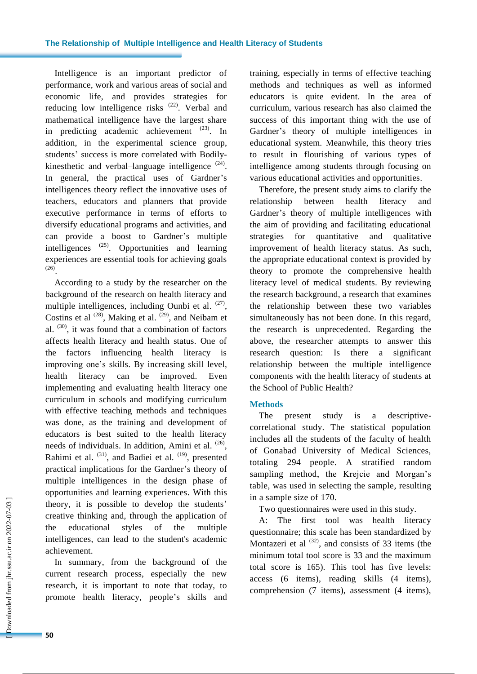### **The Relationship of Multiple Intelligence and Health Literacy of Students**

Intelligence is an important predictor of performance, work and various areas of social and economic life, and provides strategies for reducing low intelligence risks <sup>(22)</sup>. Verbal and mathematical intelligence have the largest share in predicting academic achievement  $(23)$ . In addition, in the experimental science group, students' success is more correlated with Bodilykinesthetic and verbal-language intelligence  $(24)$ . In general, the practical uses of Gardner's intelligences theory reflect the innovative uses of teachers, educators and planners that provide executive performance in terms of efforts to diversify educational programs and activities, and can provide a boost to Gardner"s multiple intelligences  $^{(25)}$ . Opportunities and learning experiences are essential tools for achieving goals (26) .

According to a study by the researcher on the background of the research on health literacy and multiple intelligences, including Ounbi et al.  $(27)$ , Costins et al  $^{(28)}$ , Making et al.  $^{(29)}$ , and Neibam et al.  $(30)$ , it was found that a combination of factors affects health literacy and health status. One of the factors influencing health literacy is improving one"s skills. By increasing skill level, health literacy can be improved. Even implementing and evaluating health literacy one curriculum in schools and modifying curriculum with effective teaching methods and techniques was done, as the training and development of educators is best suited to the health literacy needs of individuals. In addition, Amini et al. <sup>(26)</sup>, Rahimi et al.  $(31)$ , and Badiei et al.  $(19)$ , presented practical implications for the Gardner"s theory of multiple intelligences in the design phase of opportunities and learning experiences. With this theory, it is possible to develop the students" creative thinking and, through the application of the educational styles of the multiple intelligences, can lead to the student's academic achievement.

In summary, from the background of the current research process, especially the new research, it is important to note that today, to promote health literacy, people"s skills and training, especially in terms of effective teaching methods and techniques as well as informed educators is quite evident. In the area of curriculum, various research has also claimed the success of this important thing with the use of Gardner"s theory of multiple intelligences in educational system. Meanwhile, this theory tries to result in flourishing of various types of intelligence among students through focusing on various educational activities and opportunities.

Therefore, the present study aims to clarify the relationship between health literacy and Gardner's theory of multiple intelligences with the aim of providing and facilitating educational strategies for quantitative and qualitative improvement of health literacy status. As such, the appropriate educational context is provided by theory to promote the comprehensive health literacy level of medical students. By reviewing the research background, a research that examines the relationship between these two variables simultaneously has not been done. In this regard, the research is unprecedented. Regarding the above, the researcher attempts to answer this research question: Is there a significant relationship between the multiple intelligence components with the health literacy of students at the School of Public Health?

### **Methods**

The present study is a descriptivecorrelational study. The statistical population includes all the students of the faculty of health of Gonabad University of Medical Sciences, totaling 294 people. A stratified random sampling method, the Krejcie and Morgan's table, was used in selecting the sample, resulting in a sample size of 170.

Two questionnaires were used in this study.

A: The first tool was health literacy questionnaire; this scale has been standardized by Montazeri et al  $^{(32)}$ , and consists of 33 items (the minimum total tool score is 33 and the maximum total score is 165). This tool has five levels: access (6 items), reading skills (4 items), comprehension (7 items), assessment (4 items),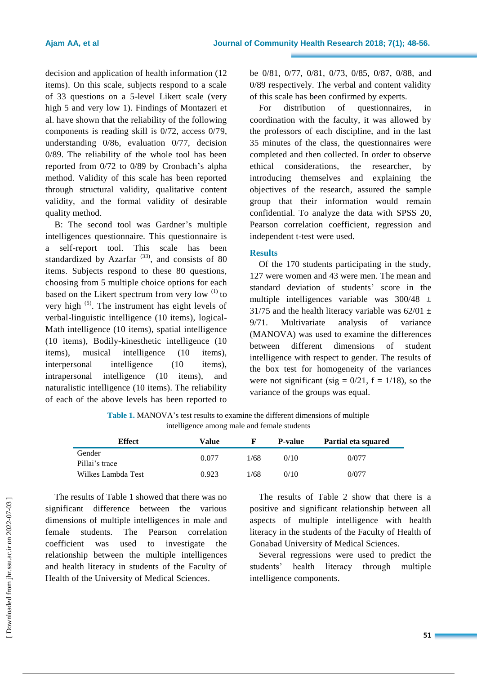decision and application of health information (12 items). On this scale, subjects respond to a scale of 33 questions on a 5-level Likert scale (very high 5 and very low 1). Findings of Montazeri et al. have shown that the reliability of the following components is reading skill is 0/72, access 0/79, understanding 0/86, evaluation 0/77, decision 0/89. The reliability of the whole tool has been reported from 0/72 to 0/89 by Cronbach"s alpha method. Validity of this scale has been reported through structural validity, qualitative content validity, and the formal validity of desirable quality method.

B: The second tool was Gardner's multiple intelligences questionnaire. This questionnaire is a self-report tool. This scale has been standardized by Azarfar<sup> $(33)$ </sup>, and consists of 80 items. Subjects respond to these 80 questions, choosing from 5 multiple choice options for each based on the Likert spectrum from very low  $(1)$  to very high (5). The instrument has eight levels of verbal-linguistic intelligence (10 items), logical-Math intelligence (10 items), spatial intelligence (10 items), Bodily-kinesthetic intelligence (10 items), musical intelligence (10 items), interpersonal intelligence (10 items), intrapersonal intelligence (10 items), and naturalistic intelligence (10 items). The reliability of each of the above levels has been reported to be 0/81, 0/77, 0/81, 0/73, 0/85, 0/87, 0/88, and 0/89 respectively. The verbal and content validity of this scale has been confirmed by experts.

For distribution of questionnaires, in coordination with the faculty, it was allowed by the professors of each discipline, and in the last 35 minutes of the class, the questionnaires were completed and then collected. In order to observe ethical considerations, the researcher, by introducing themselves and explaining the objectives of the research, assured the sample group that their information would remain confidential. To analyze the data with SPSS 20, Pearson correlation coefficient, regression and independent t-test were used.

#### **Results**

Of the 170 students participating in the study, 127 were women and 43 were men. The mean and standard deviation of students' score in the multiple intelligences variable was  $300/48 \pm$ 31/75 and the health literacy variable was  $62/01 \pm$ 9/71. Multivariate analysis of variance (MANOVA) was used to examine the differences between different dimensions of student intelligence with respect to gender. The results of the box test for homogeneity of the variances were not significant (sig =  $0/21$ , f =  $1/18$ ), so the variance of the groups was equal.

Table 1. MANOVA's test results to examine the different dimensions of multiple intelligence among male and female students

| <b>Effect</b>            | Value |      | <b>P-value</b> | Partial eta squared |
|--------------------------|-------|------|----------------|---------------------|
| Gender<br>Pillai's trace | 0.077 | 1/68 | 0/10           | 0/077               |
| Wilkes Lambda Test       | 0.923 | 1/68 | 0/10           | 0/077               |

The results of Table 1 showed that there was no significant difference between the various dimensions of multiple intelligences in male and female students. The Pearson correlation coefficient was used to investigate the relationship between the multiple intelligences and health literacy in students of the Faculty of Health of the University of Medical Sciences.

The results of Table 2 show that there is a positive and significant relationship between all aspects of multiple intelligence with health literacy in the students of the Faculty of Health of Gonabad University of Medical Sciences.

Several regressions were used to predict the students" health literacy through multiple intelligence components.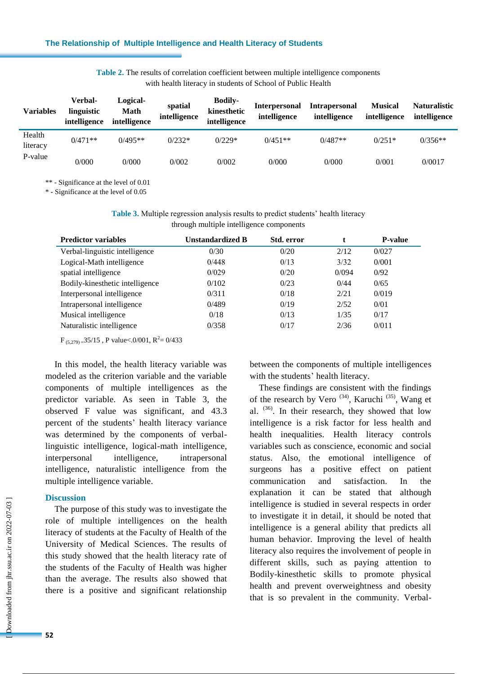| Table 2. The results of correlation coefficient between multiple intelligence components |                                                             |  |
|------------------------------------------------------------------------------------------|-------------------------------------------------------------|--|
|                                                                                          | with health literacy in students of School of Public Health |  |

| <b>Variables</b>   | Verbal-<br>linguistic<br>intelligence | Logical-<br>Math<br>intelligence | spatial<br>intelligence | <b>Bodily-</b><br>kinesthetic<br>intelligence | <b>Interpersonal</b><br>intelligence | <b>Intrapersonal</b><br>intelligence | <b>Musical</b><br>intelligence | <b>Naturalistic</b><br>intelligence |
|--------------------|---------------------------------------|----------------------------------|-------------------------|-----------------------------------------------|--------------------------------------|--------------------------------------|--------------------------------|-------------------------------------|
| Health<br>literacy | $0/471**$                             | $0/495**$                        | $0/232*$                | $0/229*$                                      | $0/451**$                            | $0/487**$                            | $0/251*$                       | $0/356**$                           |
| P-value            | 0/000                                 | 0/000                            | 0/002                   | 0/002                                         | 0/000                                | 0/000                                | 0/001                          | 0/0017                              |

\*\* - Significance at the level of 0.01

\* - Significance at the level of 0.05

**Table 3.** Multiple regression analysis results to predict students' health literacy through multiple intelligence components

| <b>Predictor variables</b>      | <b>Unstandardized B</b> | Std. error |       | <b>P-value</b> |
|---------------------------------|-------------------------|------------|-------|----------------|
| Verbal-linguistic intelligence  | 0/30                    | 0/20       | 2/12  | 0/027          |
| Logical-Math intelligence       | 0/448                   | 0/13       | 3/32  | 0/001          |
| spatial intelligence            | 0/029                   | 0/20       | 0/094 | 0/92           |
| Bodily-kinesthetic intelligence | 0/102                   | 0/23       | 0/44  | 0/65           |
| Interpersonal intelligence      | 0/311                   | 0/18       | 2/21  | 0/019          |
| Intrapersonal intelligence      | 0/489                   | 0/19       | 2/52  | 0/01           |
| Musical intelligence            | 0/18                    | 0/13       | 1/35  | 0/17           |
| Naturalistic intelligence       | 0/358                   | 0/17       | 2/36  | 0/011          |

 $F_{(5,279)} = 35/15$ , P value < 0/001, R<sup>2</sup> = 0/433

In this model, the health literacy variable was modeled as the criterion variable and the variable components of multiple intelligences as the predictor variable. As seen in Table 3, the observed F value was significant, and 43.3 percent of the students' health literacy variance was determined by the components of verballinguistic intelligence, logical-math intelligence, interpersonal intelligence, intrapersonal intelligence, naturalistic intelligence from the multiple intelligence variable.

#### **Discussion**

The purpose of this study was to investigate the role of multiple intelligences on the health literacy of students at the Faculty of Health of the University of Medical Sciences. The results of this study showed that the health literacy rate of the students of the Faculty of Health was higher than the average. The results also showed that there is a positive and significant relationship between the components of multiple intelligences with the students' health literacy.

These findings are consistent with the findings of the research by Vero<sup> $(34)$ </sup>, Karuchi<sup> $(35)$ </sup>, Wang et al. (36) . In their research, they showed that low intelligence is a risk factor for less health and health inequalities. Health literacy controls variables such as conscience, economic and social status. Also, the emotional intelligence of surgeons has a positive effect on patient communication and satisfaction. In the explanation it can be stated that although intelligence is studied in several respects in order to investigate it in detail, it should be noted that intelligence is a general ability that predicts all human behavior. Improving the level of health literacy also requires the involvement of people in different skills, such as paying attention to Bodily-kinesthetic skills to promote physical health and prevent overweightness and obesity that is so prevalent in the community. Verbal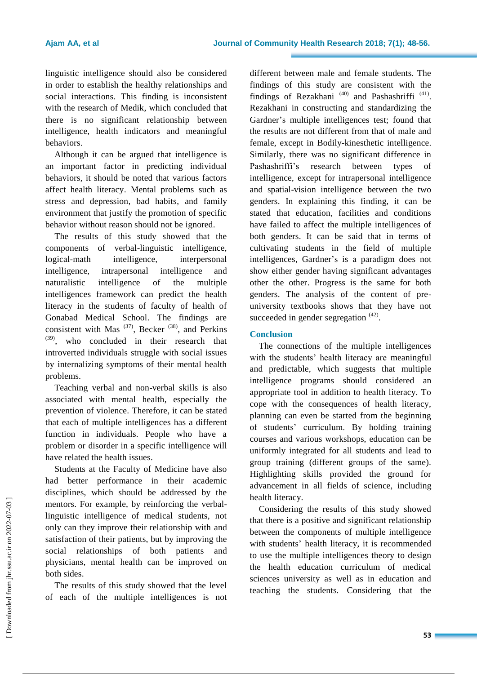linguistic intelligence should also be considered in order to establish the healthy relationships and social interactions. This finding is inconsistent with the research of Medik, which concluded that there is no significant relationship between intelligence, health indicators and meaningful behaviors.

Although it can be argued that intelligence is an important factor in predicting individual behaviors, it should be noted that various factors affect health literacy. Mental problems such as stress and depression, bad habits, and family environment that justify the promotion of specific behavior without reason should not be ignored.

The results of this study showed that the components of verbal-linguistic intelligence, logical-math intelligence, interpersonal intelligence, intrapersonal intelligence and naturalistic intelligence of the multiple intelligences framework can predict the health literacy in the students of faculty of health of Gonabad Medical School. The findings are consistent with Mas  $(37)$ , Becker  $(38)$ , and Perkins (39), who concluded in their research that introverted individuals struggle with social issues by internalizing symptoms of their mental health problems.

Teaching verbal and non-verbal skills is also associated with mental health, especially the prevention of violence. Therefore, it can be stated that each of multiple intelligences has a different function in individuals. People who have a problem or disorder in a specific intelligence will have related the health issues.

Students at the Faculty of Medicine have also had better performance in their academic disciplines, which should be addressed by the mentors. For example, by reinforcing the verballinguistic intelligence of medical students, not only can they improve their relationship with and satisfaction of their patients, but by improving the social relationships of both patients and physicians, mental health can be improved on both sides.

The results of this study showed that the level of each of the multiple intelligences is not different between male and female students. The findings of this study are consistent with the findings of Rezakhani<sup>(40)</sup> and Pashashriffi<sup>(41)</sup>. Rezakhani in constructing and standardizing the Gardner"s multiple intelligences test; found that the results are not different from that of male and female, except in Bodily-kinesthetic intelligence. Similarly, there was no significant difference in Pashashriffi's research between types of intelligence, except for intrapersonal intelligence and spatial-vision intelligence between the two genders. In explaining this finding, it can be stated that education, facilities and conditions have failed to affect the multiple intelligences of both genders. It can be said that in terms of cultivating students in the field of multiple intelligences, Gardner"s is a paradigm does not show either gender having significant advantages other the other. Progress is the same for both genders. The analysis of the content of preuniversity textbooks shows that they have not succeeded in gender segregation <sup>(42)</sup>.

# **Conclusion**

The connections of the multiple intelligences with the students' health literacy are meaningful and predictable, which suggests that multiple intelligence programs should considered an appropriate tool in addition to health literacy. To cope with the consequences of health literacy, planning can even be started from the beginning of students" curriculum. By holding training courses and various workshops, education can be uniformly integrated for all students and lead to group training (different groups of the same). Highlighting skills provided the ground for advancement in all fields of science, including health literacy.

Considering the results of this study showed that there is a positive and significant relationship between the components of multiple intelligence with students' health literacy, it is recommended to use the multiple intelligences theory to design the health education curriculum of medical sciences university as well as in education and teaching the students. Considering that the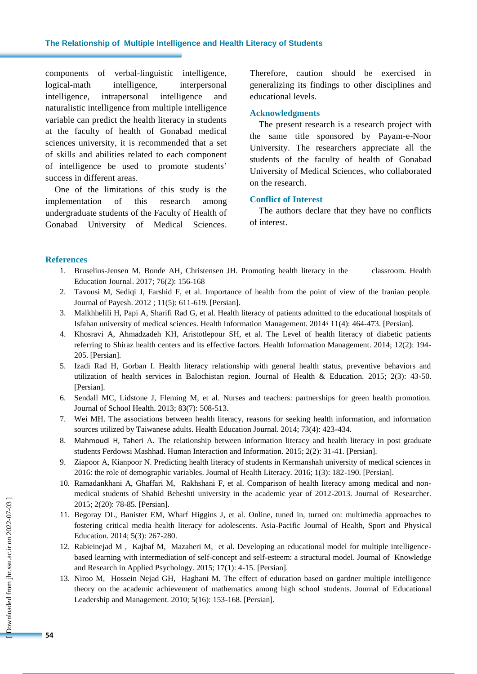#### **The Relationship of Multiple Intelligence and Health Literacy of Students**

components of verbal-linguistic intelligence, logical-math intelligence, interpersonal intelligence, intrapersonal intelligence and naturalistic intelligence from multiple intelligence variable can predict the health literacy in students at the faculty of health of Gonabad medical sciences university, it is recommended that a set of skills and abilities related to each component of intelligence be used to promote students" success in different areas.

One of the limitations of this study is the implementation of this research among undergraduate students of the Faculty of Health of Gonabad University of Medical Sciences. Therefore, caution should be exercised in generalizing its findings to other disciplines and educational levels.

#### **Acknowledgments**

The present research is a research project with the same title sponsored by Payam-e-Noor University. The researchers appreciate all the students of the faculty of health of Gonabad University of Medical Sciences, who collaborated on the research.

#### **Conflict of Interest**

The authors declare that they have no conflicts of interest.

#### **References**

- 1. Bruselius-Jensen M, Bonde AH, Christensen JH. Promoting health literacy in the classroom. Health Education Journal. 2017; 76(2): 156-168
- 2. Tavousi M, Sediqi J, Farshid F, et al. Importance of health from the point of view of the Iranian people. Journal of Payesh. 2012 ; 11(5): 611-619. [Persian].
- 3. Malkhhelili H, Papi A, Sharifi Rad G, et al. Health literacy of patients admitted to the educational hospitals of Isfahan university of medical sciences. Health Information Management. 2014: 11(4): 464-473. [Persian].
- 4. Khosravi A, Ahmadzadeh KH, Aristotlepour SH, et al. The Level of health literacy of diabetic patients referring to Shiraz health centers and its effective factors. Health Information Management. 2014; 12(2): 194- 205. [Persian].
- 5. Izadi Rad H, Gorban I. Health literacy relationship with general health status, preventive behaviors and utilization of health services in Balochistan region. Journal of Health & Education. 2015; 2(3): 43-50. [Persian].
- 6. Sendall MC, Lidstone J, Fleming M, et al. Nurses and teachers: partnerships for green health promotion. Journal of School Health. 2013; 83(7): 508-513.
- 7. Wei MH. The associations between health literacy, reasons for seeking health information, and information sources utilized by Taiwanese adults. Health Education Journal. 2014; 73(4): 423-434.
- 8. Mahmoudi H, Taheri A. The relationship between information literacy and health literacy in post graduate students Ferdowsi Mashhad. Human Interaction and Information. 2015; 2(2): 31-41. [Persian].
- 9. Ziapoor A, Kianpoor N. Predicting health literacy of students in Kermanshah university of medical sciences in 2016: the role of demographic variables. Journal of Health Literacy. 2016; 1(3): 182-190. [Persian].
- 10. Ramadankhani A, Ghaffari M, Rakhshani F, et al. Comparison of health literacy among medical and nonmedical students of Shahid Beheshti university in the academic year of 2012-2013. Journal of Researcher. 2015; 2(20): 78-85. [Persian].
- 11. Begoray DL, Banister EM, Wharf Higgins J, et al. Online, tuned in, turned on: multimedia approaches to fostering critical media health literacy for adolescents. Asia-Pacific Journal of Health, Sport and Physical Education. 2014; 5(3): 267-280.
- 12. Rabieinejad M , Kajbaf M, Mazaheri M, et al. Developing an educational model for multiple intelligencebased learning with intermediation of self-concept and self-esteem: a structural model. Journal of Knowledge and Research in Applied Psychology. 2015; 17(1): 4-15. [Persian].
- 13. Niroo M, Hossein Nejad GH, Haghani M. The effect of education based on gardner multiple intelligence theory on the academic achievement of mathematics among high school students. Journal of Educational Leadership and Management. 2010; 5(16): 153-168. [Persian].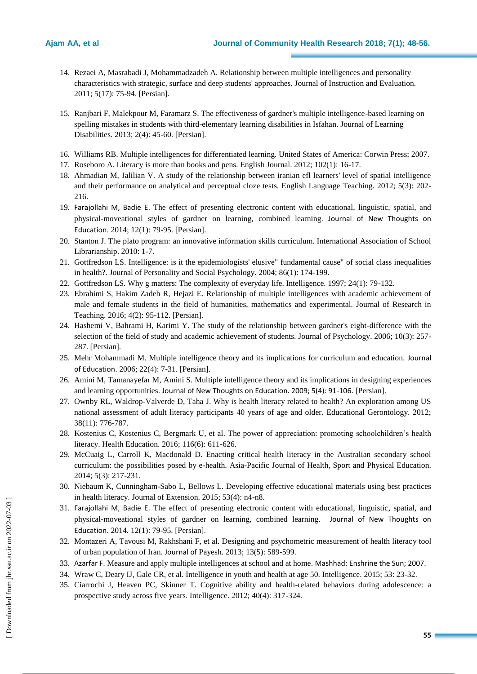- 14. Rezaei A, Masrabadi J, Mohammadzadeh A. Relationship between multiple intelligences and personality characteristics with strategic, surface and deep students' approaches. Journal of Instruction and Evaluation. 2011; 5(17): 75-94. [Persian].
- 15. Ranjbari F, Malekpour M, Faramarz S. The effectiveness of gardner's multiple intelligence-based learning on spelling mistakes in students with third-elementary learning disabilities in Isfahan. Journal of Learning Disabilities. 2013; 2(4): 45-60. [Persian].
- 16. Williams RB. Multiple intelligences for differentiated learning. United States of America: Corwin Press; 2007.
- 17. Roseboro A. Literacy is more than books and pens. English Journal. 2012; 102(1): 16-17.
- 18. Ahmadian M, Jalilian V. A study of the relationship between iranian efl learners' level of spatial intelligence and their performance on analytical and perceptual cloze tests. English Language Teaching. 2012; 5(3): 202- 216.
- 19. Farajollahi M, Badie E. The effect of presenting electronic content with educational, linguistic, spatial, and physical-moveational styles of gardner on learning, combined learning. Journal of New Thoughts on Education. 2014; 12(1): 79-95. [Persian].
- 20. Stanton J. The plato program: an innovative information skills curriculum. International Association of School Librarianship. 2010: 1-7.
- 21. Gottfredson LS. Intelligence: is it the epidemiologists' elusive" fundamental cause" of social class inequalities in health?. Journal of Personality and Social Psychology. 2004; 86(1): 174-199.
- 22. Gottfredson LS. Why g matters: The complexity of everyday life. Intelligence. 1997; 24(1): 79-132.
- 23. Ebrahimi S, Hakim Zadeh R, Hejazi E. Relationship of multiple intelligences with academic achievement of male and female students in the field of humanities, mathematics and experimental. Journal of Research in Teaching. 2016; 4(2): 95-112. [Persian].
- 24. Hashemi V, Bahrami H, Karimi Y. The study of the relationship between gardner's eight-difference with the selection of the field of study and academic achievement of students. Journal of Psychology. 2006; 10(3): 257- 287. [Persian].
- 25. Mehr Mohammadi M. Multiple intelligence theory and its implications for curriculum and education. Journal of Education. 2006; 22(4): 7-31. [Persian].
- 26. Amini M, Tamanayefar M, Amini S. Multiple intelligence theory and its implications in designing experiences and learning opportunities. Journal of New Thoughts on Education. 2009; 5(4): 91-106. [Persian].
- 27. Ownby RL, Waldrop-Valverde D, Taha J. Why is health literacy related to health? An exploration among US national assessment of adult literacy participants 40 years of age and older. Educational Gerontology. 2012; 38(11): 776-787.
- 28. Kostenius C, Kostenius C, Bergmark U, et al. The power of appreciation: promoting schoolchildren"s health literacy. Health Education. 2016; 116(6): 611-626.
- 29. McCuaig L, Carroll K, Macdonald D. Enacting critical health literacy in the Australian secondary school curriculum: the possibilities posed by e-health. Asia-Pacific Journal of Health, Sport and Physical Education. 2014; 5(3): 217-231.
- 30. Niebaum K, Cunningham-Sabo L, Bellows L. Developing effective educational materials using best practices in health literacy. Journal of Extension. 2015; 53(4): n4-n8.
- 31. Farajollahi M, Badie E. The effect of presenting electronic content with educational, linguistic, spatial, and physical-moveational styles of gardner on learning, combined learning. Journal of New Thoughts on Education. 2014. 12(1): 79-95. [Persian].
- 32. Montazeri A, Tavousi M, Rakhshani F, et al. Designing and psychometric measurement of health literacy tool of urban population of Iran. Journal of Payesh. 2013; 13(5): 589-599.
- 33. Azarfar F. Measure and apply multiple intelligences at school and at home. Mashhad: Enshrine the Sun; 2007.
- 34. Wraw C, Deary IJ, Gale CR, et al. Intelligence in youth and health at age 50. Intelligence. 2015; 53: 23-32.
- 35. Ciarrochi J, Heaven PC, Skinner T. Cognitive ability and health-related behaviors during adolescence: a prospective study across five years. Intelligence. 2012; 40(4): 317-324.